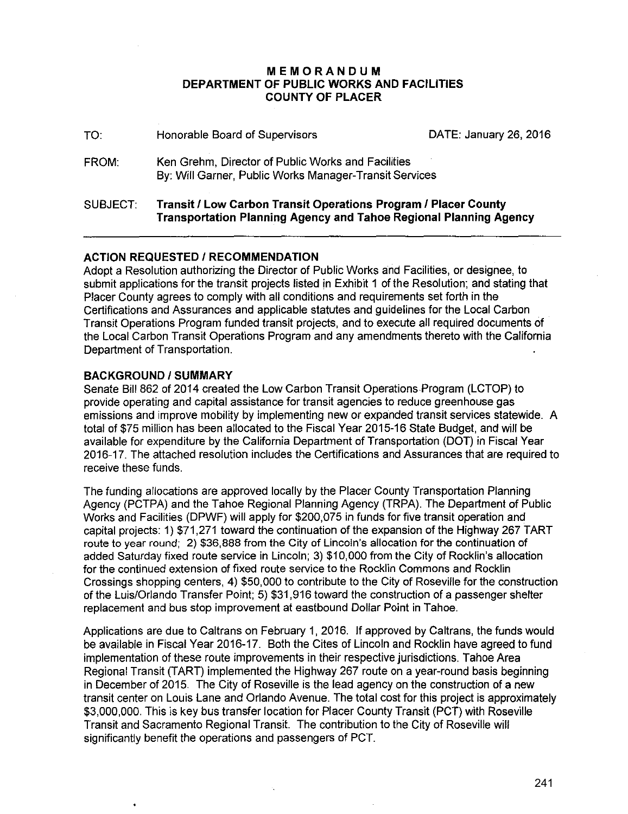### **MEMORANDUM DEPARTMENT OF PUBLIC WORKS AND FACILITIES COUNTY OF PLACER**

| SUBJECT: | Transit / Low Carbon Transit Operations Program / Placer County<br><b>Transportation Planning Agency and Tahoe Regional Planning Agency</b> |                        |
|----------|---------------------------------------------------------------------------------------------------------------------------------------------|------------------------|
| FROM:    | Ken Grehm, Director of Public Works and Facilities<br>By: Will Garner, Public Works Manager-Transit Services                                |                        |
| TO:      | Honorable Board of Supervisors                                                                                                              | DATE: January 26, 2016 |

### **ACTION REQUESTED I RECOMMENDATION**

Adopt a Resolution authorizing the Director of Public Works and Facilities, or designee, to submit applications for the transit projects listed in Exhibit 1 of the Resolution; and stating that Placer County agrees to comply with all conditions and requirements set forth in the Certifications and Assurances and applicable statutes and guidelines for the Local Carbon Transit Operations Program funded transit projects, and to execute all required documents of the Local Carbon Transit Operations Program and any amendments thereto with the California Department of Transportation.

### **BACKGROUND/SUMMARY**

Senate Bill 862 of 2014 created the Low Carbon Transit Operations Program (LCTOP) to provide operating and capital assistance for transit agencies to reduce greenhouse gas emissions and improve mobility by implementing new or expanded transit services statewide. A total of \$75 million has been allocated to the Fiscal Year 2015-16 State Budget, and will be available for expenditure by the California Department of Transportation (DOT) in Fiscal Year 2016-17. The attached resolution includes the Certifications and Assurances that are required to receive these funds.

The funding allocations are approved locally by the Placer County Transportation Planning Agency (PCTPA) and the Tahoe Regional Planning Agency (TRPA). The Department of Public Works and Facilities (DPWF) will apply for \$200,075 in funds for five transit operation and capital projects: 1) \$71,271 toward the continuation of the expansion of the Highway 267 TART route to year round; 2) \$36,888 from the City of Lincoln's allocation for the continuation of added Saturday fixed route service in Lincoln; 3) \$10,000 from the City of Rocklin's allocation for the continued extension of fixed route service to the Rocklin Commons and Rocklin Crossings shopping centers, 4) \$50,000 to contribute to the City of Roseville for the construction of the Luis/Orlando Transfer Point; 5) \$31,916 toward the construction of a passenger shelter replacement and bus stop improvement at eastbound Dollar Point in Tahoe.

Applications are due to Caltrans on February 1, 2016. If approved by Caltrans, the funds would be available in Fiscal Year 2016-17. Both the Cites of Lincoln and Rocklin have agreed to fund implementation of these route improvements in their respective jurisdictions. Tahoe Area Regional Transit (TART) implemented the Highway 267 route on a year-round basis beginning in December of 2015. The City of Roseville is the lead agency on the construction of a new transit center on Louis Lane and Orlando Avenue. The total cost for this project is approximately \$3,000,000. This is key bus transfer location for Placer County Transit (PCT) with Roseville Transit and Sacramento Regional Transit. The contribution to the City of Roseville will significantly benefit the operations and passengers of PCT.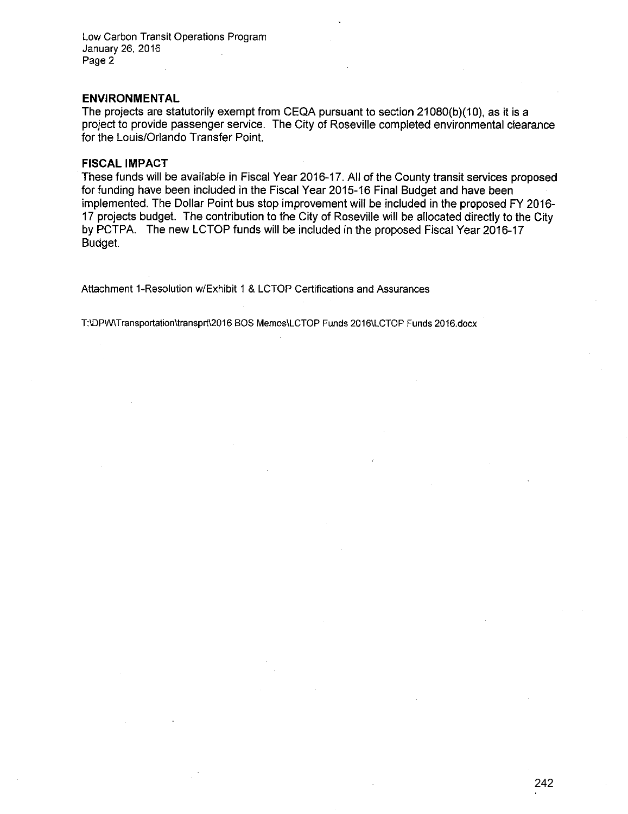Low Carbon Transit Operations Program January 26, 2016 Page 2

#### **ENVIRONMENTAL**

The projects are statutorily exempt from CEQA pursuant to section 21080(b)(10}, as it is a project to provide passenger service. The City of Roseville completed environmental clearance for the Louis/Orlando Transfer Point.

#### **FISCAL IMPACT**

These funds will be available in Fiscal Year 2016-17. All of the County transit services proposed for funding have been included in the Fiscal Year 2015-16 Final Budget and have been implemented. The Dollar Point bus stop improvement will be included in the proposed FY 2016- 17 projects budget. The contribution to the City of Roseville will be allocated directly to the City by PCTPA. The new LCTOP funds will be included in the proposed Fiscal Year 2016-17 Budget.

Attachment 1-Resolution w/Exhibit 1 & LCTOP Certifications and Assurances

T:IDPW\Transportationltransprt\2016 BOS Memos\LCTOP Funds 2016\LCTOP Funds 2016.docx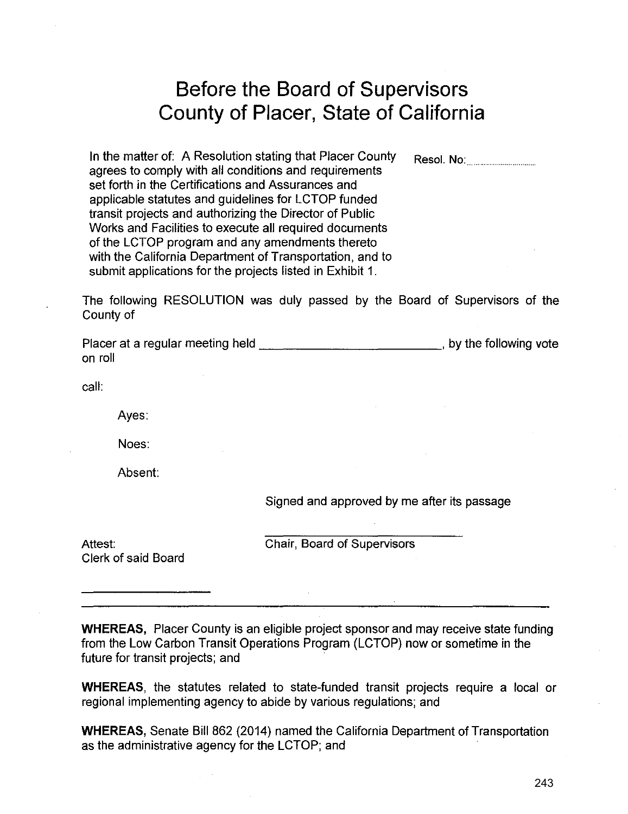# **Before the Board of Supervisors County of Placer, State of California**

In the matter of: A Resolution stating that Placer County  $R$ esol. No: agrees to comply with all conditions and requirements set forth in the Certifications and Assurances and applicable statutes and guidelines for LCTOP funded transit projects and authorizing the Director of Public Works and Facilities to execute all required documents of the LCTOP program and any amendments thereto with the California Department of Transportation, and to submit applications for the projects listed in Exhibit 1.

The following RESOLUTION was duly passed by the Board of Supervisors of the County of

Placer at a regular meeting held \_\_\_\_\_\_\_\_\_\_\_\_\_\_\_\_\_\_\_\_\_\_\_\_\_\_\_\_\_\_, by the following vote on roll

call:

Ayes:

Noes:

Absent:

Signed and approved by me after its passage

Clerk of said Board

Attest: Chair, Board of Supervisors

**WHEREAS,** Placer County is an eligible project sponsor and may receive state funding from the Low Carbon Transit Operations Program (LCTOP) now or sometime in the future for transit projects; and

**WHEREAS,** the statutes related to state-funded transit projects require a local or regional implementing agency to abide by various regulations; and

**WHEREAS,** Senate Bill 862 (2014) named the California Department of Transportation as the administrative agency for the LCTOP; and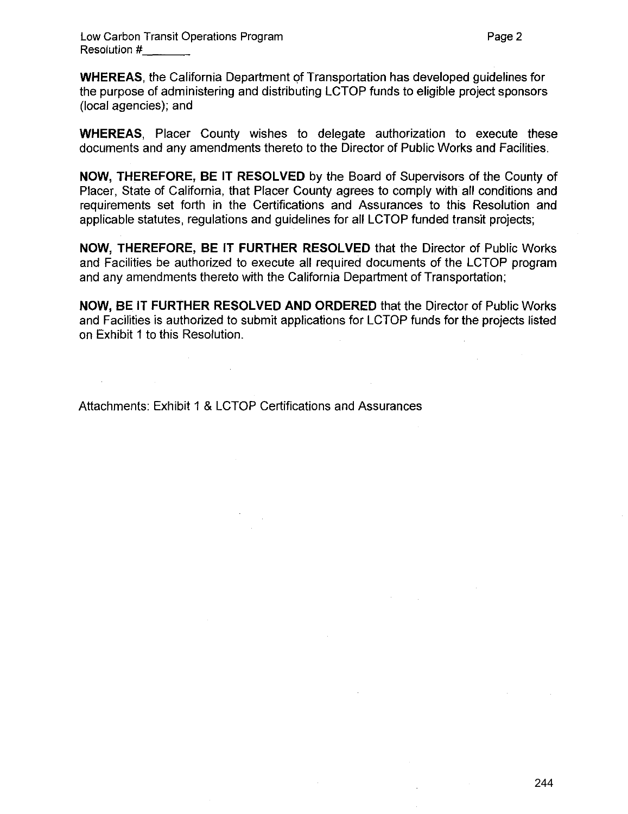**WHEREAS**, the California Department of Transportation has developed guidelines for the purpose of administering and distributing LCTOP funds to eligible project sponsors (local agencies); and

**WHEREAS,** Placer County wishes to delegate authorization to execute these documents and any amendments thereto to the Director of Public Works and Facilities.

**NOW, THEREFORE, BE IT RESOLVED** by the Board of Supervisors of the County of Placer, State of California, that Placer County agrees to comply with all conditions and requirements set forth in the Certifications and Assurances to this Resolution and applicable statutes, regulations and guidelines for all LCTOP funded transit projects;

**NOW, THEREFORE, BE IT FURTHER RESOLVED** that the Director of Public Works and Facilities be authorized to execute all required documents of the LCTOP program and any amendments thereto with the California Department of Transportation;

**NOW,** BE IT **FURTHER RESOLVED AND ORDERED** that the Director of Public Works and Facilities is authorized to submit applications for LCTOP funds for the projects listed on Exhibit 1 to this Resolution.

Attachments: Exhibit 1 & LCTOP Certifications and Assurances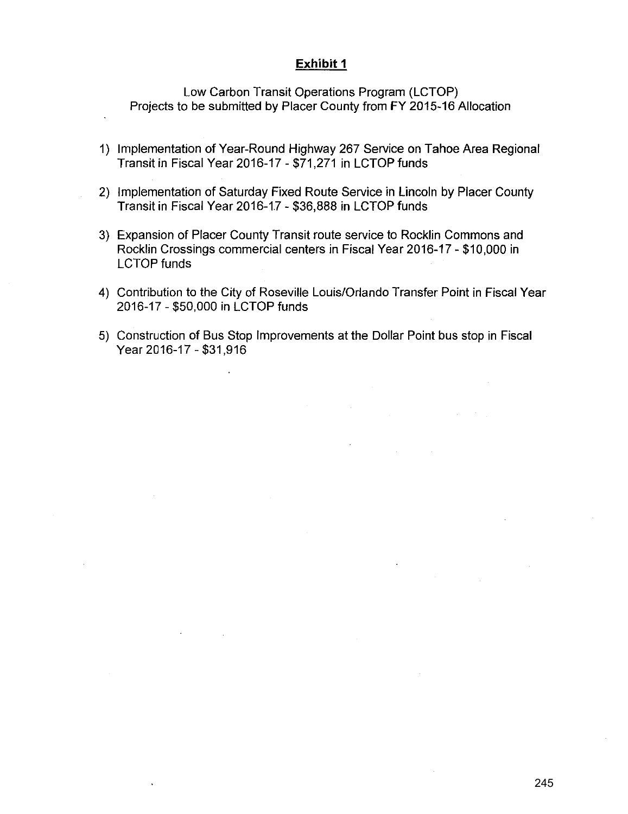### **Exhibit 1**

Low Carbon Transit Operations Program (LCTOP) Projects to be submitted by Placer County from FY 2015-16 Allocation

- 1) Implementation of Year-Round Highway 267 Service on Tahoe Area Regional Transit in Fiscal Year 2016-17 - \$71,271 in LCTOP funds
- 2) Implementation of Saturday Fixed Route Service in Lincoln by Placer County Transit in Fiscal Year 2016-1.7- \$36,888 in LCTOP funds
- 3) Expansion of Placer County Transit route service to Rocklin Commons and Rocklin Crossings commercial centers in Fiscal Year 2016-17-\$10,000 in LCTOP funds
- 4) Contribution to the City of Roseville Louis/Orlando Transfer Point in Fiscal Year 2016-17- \$50,000 in LCTOP funds
- 5) Construction of Bus Stop Improvements at the Dollar Point bus stop in Fiscal Year 2016-17-\$31,916

 $\overline{\phantom{a}}$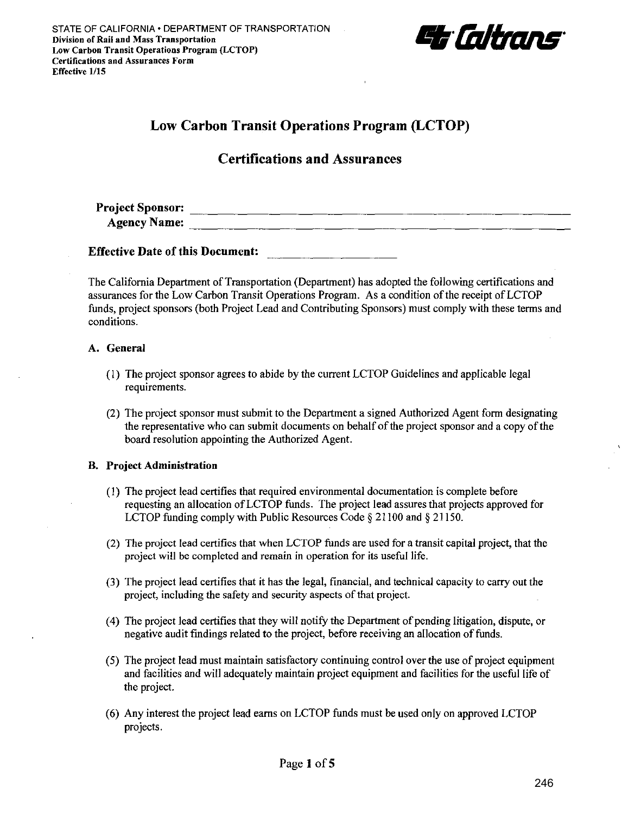

# **Low Carbon Transit Operations Program (LCTOP)**

# **Certifications and Assurances**

**Project Sponsor: Agency Name:**  $\frac{1}{2}$  **Agency Name:**  $\frac{1}{2}$  **Agency Name:**  $\frac{1}{2}$  **Agency Name:**  $\frac{1}{2}$  **Agency Name:**  $\frac{1}{2}$  **Agency Name:**  $\frac{1}{2}$  **Agency Name:**  $\frac{1}{2}$  **Agency Name:**  $\frac{1}{2}$  **Agency Name:**  $\frac{1}{2$ 

**Effective Date of this Document:** 

The California Department of Transportation (Department) has adopted the following certifications and assurances for the Low Carbon Transit Operations Program. As a condition of the receipt of LCTOP funds, project sponsors (both Project Lead and Contributing Sponsors) must comply with these terms and conditions.

### **A. General**

- (I) The project sponsor agrees to abide by the current LCTOP Guidelines and applicable legal requirements.
- (2) The project sponsor must submit to the Department a signed Authorized Agent form designating the representative who can submit documents on behalf of the project sponsor and a copy of the board resolution appointing the Authorized Agent.

### **B. Project Administration**

- (I) The project lead certifies that required environmental documentation is complete before requesting an allocation ofLCTOP funds. The project lead assures that projects approved for LCTOP funding comply with Public Resources Code § 21100 and § 21150.
- (2) The project lead certifies that when LCTOP funds are used for a transit capital project, that the project will be completed and remain in operation for its useful life.
- (3) The project lead certifies that it has the legal, financial, and technical capacity to carry out the project, including the safety and security aspects of that project.
- (4) The project lead certifies that they will notify the Department of pending litigation, dispute, or negative audit findings related to the project, before receiving an allocation of funds.
- (5) The project lead must maintain satisfactory continuing control over the use of project equipment and facilities and will adequately maintain project equipment and facilities for the useful life of the project.
- (6) Any interest the project lead earns on LCTOP funds must be used only on approved LCTOP projects.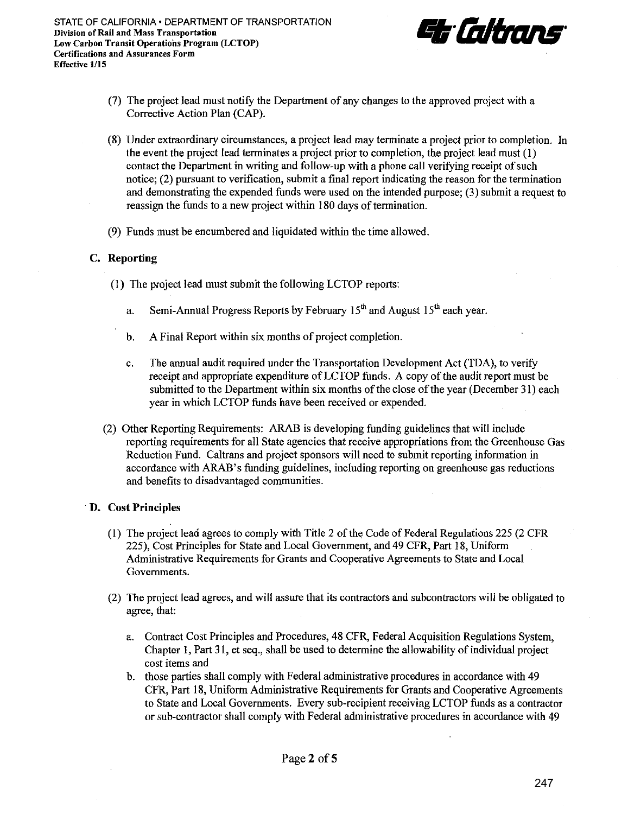

- (7) The project lead must notify the Department of any changes to the approved project with a Corrective Action Plan (CAP).
- (8) Under extraordinary circumstances, a project lead may terminate a project prior to completion. In the event the project lead terminates a project prior to completion, the project lead must (I) contact the Department in writing and follow-up with a phone call verifying receipt of such notice; (2) pursuant to verification, submit a final report indicating the reason for the termination and demonstrating the expended funds were used on the intended purpose; (3) submit a request to reassign the funds to a new project within 180 days of termination.
- (9) Funds must be encumbered and liquidated within the time allowed.

### C. **Reporting**

- (I) The project lead must submit the following LCTOP reports:
	- a. Semi-Annual Progress Reports by February  $15<sup>th</sup>$  and August  $15<sup>th</sup>$  each year.
	- b. A Final Report within six months of project completion.
	- c. The annual audit required under the Transportation Development Act (TDA), to verify receipt and appropriate expenditure ofLCTOP funds. A copy of the audit report must be submitted to the Department within six months of the close of the year (December 31) each year in which LCTOP funds have been received or expended.
- (2) Other Reporting Requirements: ARAB is developing funding guidelines that will include reporting requirements for all State agencies that receive appropriations from the Greenhouse Gas Reduction Fund. Caltrans and project sponsors will need to submit reporting information in accordance with ARAB's funding guidelines, including reporting on greenhouse gas reductions and benefits to disadvantaged communities.

### **D.** Cost **Principles**

- (I) The project lead agrees to comply with Title 2 of the Code of Federal Regulations 225 (2 CFR 225), Cost Principles for State and Local Government, and 49 CFR, Part 18, Uniform Administrative Requirements for Grants and Cooperative Agreements to State and Local Governments.
- (2) The project lead agrees, and will assure that its contractors and subcontractors will be obligated to agree, that:
	- a. Contract Cost Principles and Procedures, 48 CFR, Federal Acquisition Regulations System, Chapter I, Part 31, et seq., shall be used to determine the allowability of individual project cost items and
	- b. those parties shall comply with Federal administrative procedures in accordance with 49 CFR, Part 18, Uniform Administrative Requirements for Grants and Cooperative Agreements to State and Local Governments. Every sub-recipient receiving LCTOP funds as a contractor or sub-contractor shall comply with Federal administrative procedures in accordance with 49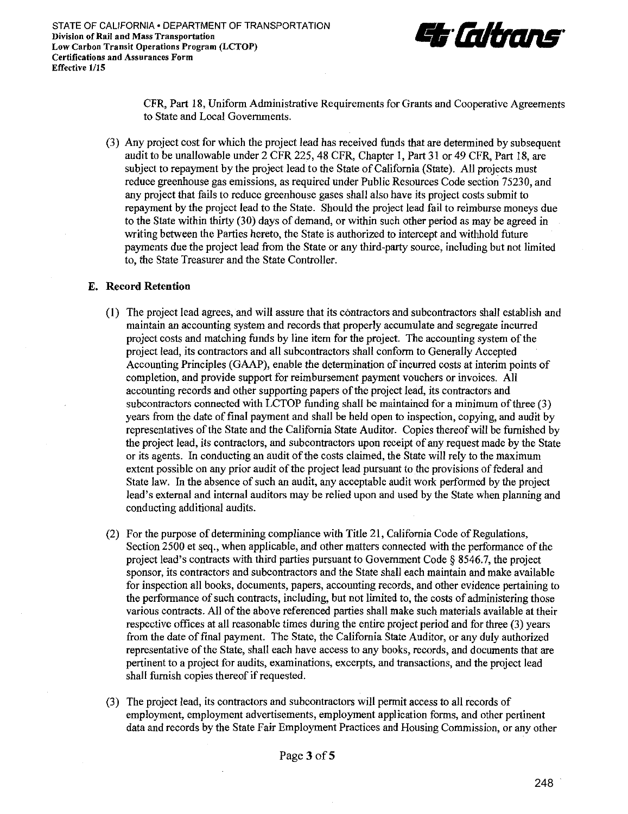

CFR, Part 18, Uniform Administrative Requirements for Grants and Cooperative Agreements to State and Local Governments.

(3) Any project cost for which the project lead has received funds that are determined by subsequent audit to be unallowable under 2 CFR 225, 48 CFR, Chapter I, Part 31 or 49 CFR, Part 18, are subject to repayment by the project lead to the State of California (State). All projects must reduce greenhouse gas emissions, as required under Public Resources Code section 75230, and any project that fails to reduce greenhouse gases shall also have its project costs submit to repayment by the project lead to the State. Should the project lead fail to reimburse moneys due to the State within thirty (30) days of demand, or within such other period as may be agreed in writing between the Parties hereto, the State is authorized *to* intercept and withhold future payments due the project lead from the State or any third-party source, including but not limited to, the State Treasurer and the State Controller.

#### **E. Record Retention**

- (I) The project lead agrees, and will assure that its contractors and subcontractors shall establish and maintain an accounting system and records that properly accumulate and segregate incurred project costs and matching funds by line item for the project. The accounting system ofthe project lead, its contractors and all subcontractors shall conform *to* Generally Accepted Accounting Principles (GAAP), enable the determination of incurred costs at interim points of completion, and provide support for reimbursement payment vouchers or invoices. All accounting records and other supporting papers of the project lead, its contractors and subcontractors connected with LCTOP funding shall be maintained for a minimum of three (3) years from the date of final payment and shall be held open to inspection, copying, and audit by representatives of the State and the California State Auditor. Copies thereof will be furnished by the project lead, its contractors, and subcontractors upon receipt of any request made by the State or its agents. In conducting an audit of the costs claimed, the State will rely to the maximum extent possible on any prior audit of the project lead pursuant to the provisions of federal and State law. In the absence of such an audit, any acceptable audit work performed by the project lead's external and internal auditors may be relied upon and used by the State when planning and conducting additional audits.
- (2) For the purpose of determining compliance with Title 21, California Code of Regulations, Section 2500 et seq., when applicable, and other matters connected with the performance of the project lead's contracts with third parties pursuant to Government Code§ 8546.7, the project sponsor, its contractors and subcontractors and the State shall each maintain and make available for inspection all books, documents, papers, accounting records, and other evidence pertaining to the performance of such contracts, including, but not limited to, the costs of administering those various contracts. All of the above referenced parties shall make such materials available at their respective offices at all reasonable times during the entire project period and for three (3) years from the date of final payment. The State, the California State Auditor, or any duly authorized representative of the State, shall each have access to any books, records, and documents that are pertinent to a project for audits, examinations, excerpts, and transactions, and the project lead shall furnish copies thereof if requested.
- (3) The project lead, its contractors and subcontractors will permit access to all records of employment, employment advertisements, employment application forms, and other pertinent data and records by the State Fair Employment Practices and Housing Commission, or any other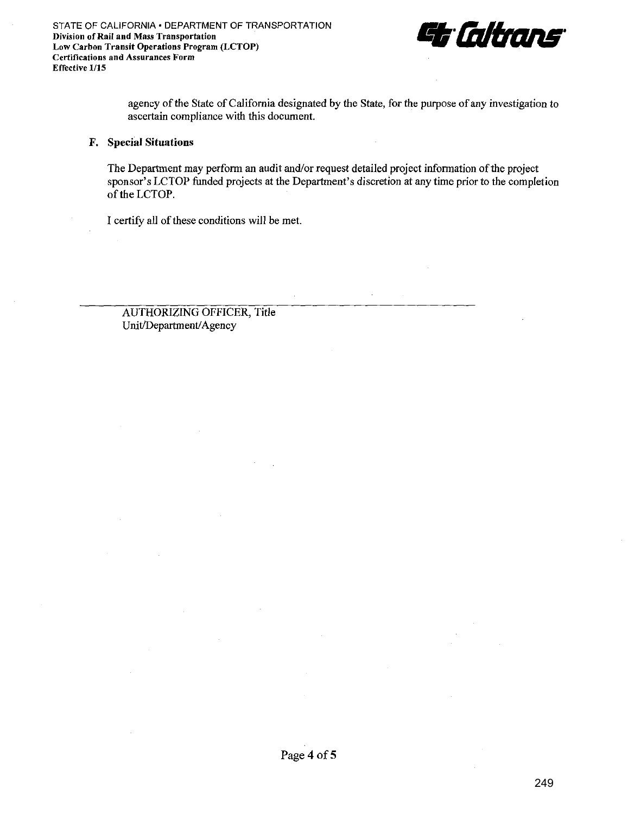

agency of the State of California designated by the State, for the purpose of any investigation to ascertain compliance with this document.

### **F. Special Situations**

The Department may perform an audit and/or request detailed project information of the project sponsor's LCTOP funded projects at the Department's discretion at any time prior to the completion of the LCTOP.

 $\lambda$ 

I certify all of these conditions will be met.

AUTHORIZING OFFICER, Title Unit/Department/Agency